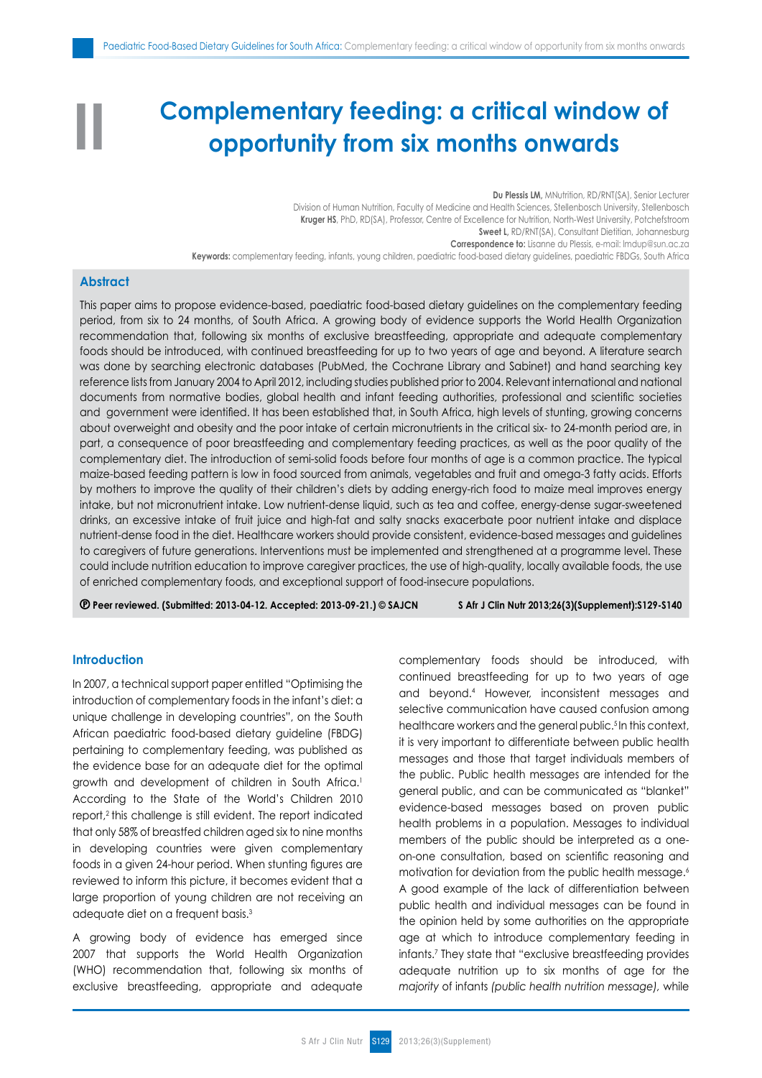# **Complementary feeding: a critical window of opportunity from six months onwards**

**Du Plessis LM,** MNutrition, RD/RNT(SA), Senior Lecturer Division of Human Nutrition, Faculty of Medicine and Health Sciences, Stellenbosch University, Stellenbosch **Kruger HS**, PhD, RD(SA), Professor, Centre of Excellence for Nutrition, North-West University, Potchefstroom Sweet L, RD/RNT(SA), Consultant Dietitian, Johannesburg **Correspondence to:** Lisanne du Plessis, e-mail: lmdup@sun.ac.za **Keywords:** complementary feeding, infants, young children, paediatric food-based dietary guidelines, paediatric FBDGs, South Africa

## **Abstract**

**II**

This paper aims to propose evidence-based, paediatric food-based dietary guidelines on the complementary feeding period, from six to 24 months, of South Africa. A growing body of evidence supports the World Health Organization recommendation that, following six months of exclusive breastfeeding, appropriate and adequate complementary foods should be introduced, with continued breastfeeding for up to two years of age and beyond. A literature search was done by searching electronic databases (PubMed, the Cochrane Library and Sabinet) and hand searching key reference lists from January 2004 to April 2012, including studies published prior to 2004. Relevant international and national documents from normative bodies, global health and infant feeding authorities, professional and scientific societies and government were identified. It has been established that, in South Africa, high levels of stunting, growing concerns about overweight and obesity and the poor intake of certain micronutrients in the critical six- to 24-month period are, in part, a consequence of poor breastfeeding and complementary feeding practices, as well as the poor quality of the complementary diet. The introduction of semi-solid foods before four months of age is a common practice. The typical maize-based feeding pattern is low in food sourced from animals, vegetables and fruit and omega-3 fatty acids. Efforts by mothers to improve the quality of their children's diets by adding energy-rich food to maize meal improves energy intake, but not micronutrient intake. Low nutrient-dense liquid, such as tea and coffee, energy-dense sugar-sweetened drinks, an excessive intake of fruit juice and high-fat and salty snacks exacerbate poor nutrient intake and displace nutrient-dense food in the diet. Healthcare workers should provide consistent, evidence-based messages and guidelines to caregivers of future generations. Interventions must be implemented and strengthened at a programme level. These could include nutrition education to improve caregiver practices, the use of high-quality, locally available foods, the use of enriched complementary foods, and exceptional support of food-insecure populations.

 **Peer reviewed. (Submitted: 2013-04-12. Accepted: 2013-09-21.) © SAJCN S Afr J Clin Nutr 2013;26(3)(Supplement):S129-S140**

#### **Introduction**

In 2007, a technical support paper entitled "Optimising the introduction of complementary foods in the infant's diet: a unique challenge in developing countries", on the South African paediatric food-based dietary guideline (FBDG) pertaining to complementary feeding, was published as the evidence base for an adequate diet for the optimal growth and development of children in South Africa.<sup>1</sup> According to the State of the World's Children 2010 report,2 this challenge is still evident. The report indicated that only 58% of breastfed children aged six to nine months in developing countries were given complementary foods in a given 24-hour period. When stunting figures are reviewed to inform this picture, it becomes evident that a large proportion of young children are not receiving an adequate diet on a frequent basis.3

A growing body of evidence has emerged since 2007 that supports the World Health Organization (WHO) recommendation that, following six months of exclusive breastfeeding, appropriate and adequate complementary foods should be introduced, with continued breastfeeding for up to two years of age and beyond.4 However, inconsistent messages and selective communication have caused confusion among healthcare workers and the general public.<sup>5</sup> In this context, it is very important to differentiate between public health messages and those that target individuals members of the public. Public health messages are intended for the general public, and can be communicated as "blanket" evidence-based messages based on proven public health problems in a population. Messages to individual members of the public should be interpreted as a oneon-one consultation, based on scientific reasoning and motivation for deviation from the public health message.<sup>6</sup> A good example of the lack of differentiation between public health and individual messages can be found in the opinion held by some authorities on the appropriate age at which to introduce complementary feeding in infants.7 They state that "exclusive breastfeeding provides adequate nutrition up to six months of age for the *majority* of infants *(public health nutrition message),* while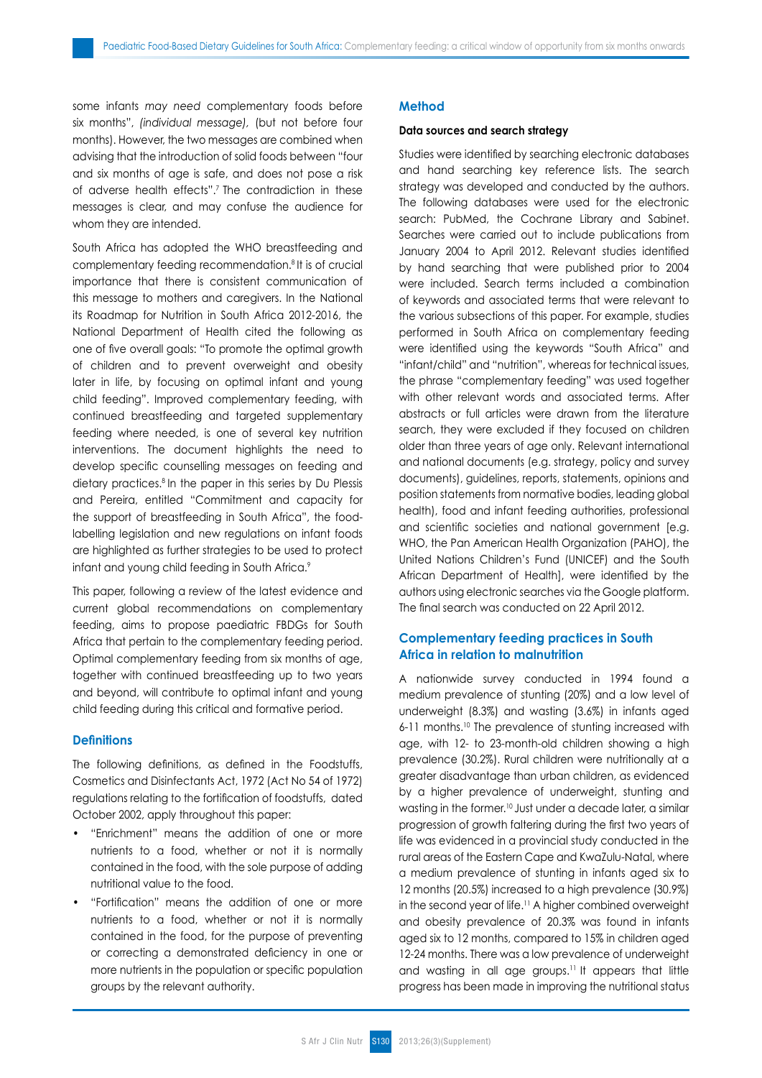some infants *may need* complementary foods before six months", *(individual message),* (but not before four months). However, the two messages are combined when advising that the introduction of solid foods between "four and six months of age is safe, and does not pose a risk of adverse health effects".<sup>7</sup> The contradiction in these messages is clear, and may confuse the audience for whom they are intended.

South Africa has adopted the WHO breastfeeding and complementary feeding recommendation.8 It is of crucial importance that there is consistent communication of this message to mothers and caregivers. In the National its Roadmap for Nutrition in South Africa 2012-2016, the National Department of Health cited the following as one of five overall goals: "To promote the optimal growth of children and to prevent overweight and obesity later in life, by focusing on optimal infant and young child feeding". Improved complementary feeding, with continued breastfeeding and targeted supplementary feeding where needed, is one of several key nutrition interventions. The document highlights the need to develop specific counselling messages on feeding and dietary practices.8 In the paper in this series by Du Plessis and Pereira, entitled "Commitment and capacity for the support of breastfeeding in South Africa", the foodlabelling legislation and new regulations on infant foods are highlighted as further strategies to be used to protect infant and young child feeding in South Africa.9

This paper, following a review of the latest evidence and current global recommendations on complementary feeding, aims to propose paediatric FBDGs for South Africa that pertain to the complementary feeding period. Optimal complementary feeding from six months of age, together with continued breastfeeding up to two years and beyond, will contribute to optimal infant and young child feeding during this critical and formative period.

#### **Definitions**

The following definitions, as defined in the Foodstuffs, Cosmetics and Disinfectants Act, 1972 (Act No 54 of 1972) regulations relating to the fortification of foodstuffs, dated October 2002, apply throughout this paper:

- "Enrichment" means the addition of one or more nutrients to a food, whether or not it is normally contained in the food, with the sole purpose of adding nutritional value to the food.
- "Fortification" means the addition of one or more nutrients to a food, whether or not it is normally contained in the food, for the purpose of preventing or correcting a demonstrated deficiency in one or more nutrients in the population or specific population groups by the relevant authority.

#### **Method**

#### **Data sources and search strategy**

Studies were identified by searching electronic databases and hand searching key reference lists. The search strategy was developed and conducted by the authors. The following databases were used for the electronic search: PubMed, the Cochrane Library and Sabinet. Searches were carried out to include publications from January 2004 to April 2012. Relevant studies identified by hand searching that were published prior to 2004 were included. Search terms included a combination of keywords and associated terms that were relevant to the various subsections of this paper. For example, studies performed in South Africa on complementary feeding were identified using the keywords "South Africa" and "infant/child" and "nutrition", whereas for technical issues, the phrase "complementary feeding" was used together with other relevant words and associated terms. After abstracts or full articles were drawn from the literature search, they were excluded if they focused on children older than three years of age only. Relevant international and national documents (e.g. strategy, policy and survey documents), guidelines, reports, statements, opinions and position statements from normative bodies, leading global health), food and infant feeding authorities, professional and scientific societies and national government [e.g. WHO, the Pan American Health Organization (PAHO), the United Nations Children's Fund (UNICEF) and the South African Department of Health], were identified by the authors using electronic searches via the Google platform. The final search was conducted on 22 April 2012.

## **Complementary feeding practices in South Africa in relation to malnutrition**

A nationwide survey conducted in 1994 found a medium prevalence of stunting (20%) and a low level of underweight (8.3%) and wasting (3.6%) in infants aged 6-11 months.10 The prevalence of stunting increased with age, with 12- to 23-month-old children showing a high prevalence (30.2%). Rural children were nutritionally at a greater disadvantage than urban children, as evidenced by a higher prevalence of underweight, stunting and wasting in the former.10 Just under a decade later, a similar progression of growth faltering during the first two years of life was evidenced in a provincial study conducted in the rural areas of the Eastern Cape and KwaZulu-Natal, where a medium prevalence of stunting in infants aged six to 12 months (20.5%) increased to a high prevalence (30.9%) in the second year of life.<sup>11</sup> A higher combined overweight and obesity prevalence of 20.3% was found in infants aged six to 12 months, compared to 15% in children aged 12-24 months. There was a low prevalence of underweight and wasting in all age groups.<sup>11</sup> It appears that little progress has been made in improving the nutritional status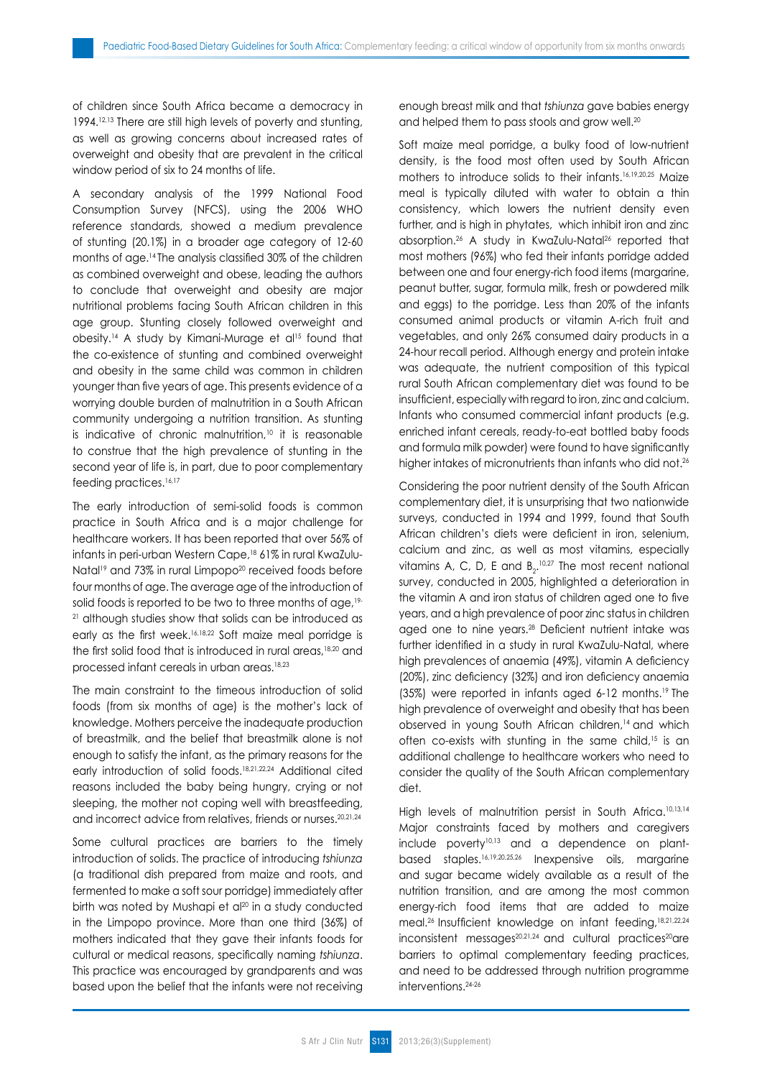of children since South Africa became a democracy in 1994.12,13 There are still high levels of poverty and stunting, as well as growing concerns about increased rates of overweight and obesity that are prevalent in the critical window period of six to 24 months of life.

A secondary analysis of the 1999 National Food Consumption Survey (NFCS), using the 2006 WHO reference standards, showed a medium prevalence of stunting (20.1%) in a broader age category of 12-60 months of age.14 The analysis classified 30% of the children as combined overweight and obese, leading the authors to conclude that overweight and obesity are major nutritional problems facing South African children in this age group. Stunting closely followed overweight and obesity.14 A study by Kimani-Murage et al15 found that the co-existence of stunting and combined overweight and obesity in the same child was common in children younger than five years of age. This presents evidence of a worrying double burden of malnutrition in a South African community undergoing a nutrition transition. As stunting is indicative of chronic malnutrition, $10$  it is reasonable to construe that the high prevalence of stunting in the second year of life is, in part, due to poor complementary feeding practices.<sup>16,17</sup>

The early introduction of semi-solid foods is common practice in South Africa and is a major challenge for healthcare workers. It has been reported that over 56% of infants in peri-urban Western Cape,<sup>18</sup> 61% in rural KwaZulu-Natal<sup>19</sup> and 73% in rural Limpopo<sup>20</sup> received foods before four months of age. The average age of the introduction of solid foods is reported to be two to three months of age, <sup>19-</sup> <sup>21</sup> although studies show that solids can be introduced as early as the first week.16,18,22 Soft maize meal porridge is the first solid food that is introduced in rural areas,<sup>18,20</sup> and processed infant cereals in urban areas.18,23

The main constraint to the timeous introduction of solid foods (from six months of age) is the mother's lack of knowledge. Mothers perceive the inadequate production of breastmilk, and the belief that breastmilk alone is not enough to satisfy the infant, as the primary reasons for the early introduction of solid foods.18,21,22,24 Additional cited reasons included the baby being hungry, crying or not sleeping, the mother not coping well with breastfeeding, and incorrect advice from relatives, friends or nurses.20,21,24

Some cultural practices are barriers to the timely introduction of solids. The practice of introducing *tshiunza* (a traditional dish prepared from maize and roots, and fermented to make a soft sour porridge) immediately after birth was noted by Mushapi et al<sup>20</sup> in a study conducted in the Limpopo province. More than one third (36%) of mothers indicated that they gave their infants foods for cultural or medical reasons, specifically naming *tshiunza*. This practice was encouraged by grandparents and was based upon the belief that the infants were not receiving enough breast milk and that *tshiunza* gave babies energy and helped them to pass stools and grow well.<sup>20</sup>

Soft maize meal porridge, a bulky food of low-nutrient density, is the food most often used by South African mothers to introduce solids to their infants.16,19,20,25 Maize meal is typically diluted with water to obtain a thin consistency, which lowers the nutrient density even further, and is high in phytates, which inhibit iron and zinc absorption.26 A study in KwaZulu-Natal26 reported that most mothers (96%) who fed their infants porridge added between one and four energy-rich food items (margarine, peanut butter, sugar, formula milk, fresh or powdered milk and eggs) to the porridge. Less than 20% of the infants consumed animal products or vitamin A-rich fruit and vegetables, and only 26% consumed dairy products in a 24-hour recall period. Although energy and protein intake was adequate, the nutrient composition of this typical rural South African complementary diet was found to be insufficient, especially with regard to iron, zinc and calcium. Infants who consumed commercial infant products (e.g. enriched infant cereals, ready-to-eat bottled baby foods and formula milk powder) were found to have significantly higher intakes of micronutrients than infants who did not.<sup>26</sup>

Considering the poor nutrient density of the South African complementary diet, it is unsurprising that two nationwide surveys, conducted in 1994 and 1999, found that South African children's diets were deficient in iron, selenium, calcium and zinc, as well as most vitamins, especially vitamins A, C, D, E and  $B_2$ <sup>10,27</sup> The most recent national survey, conducted in 2005, highlighted a deterioration in the vitamin A and iron status of children aged one to five years, and a high prevalence of poor zinc status in children aged one to nine years.28 Deficient nutrient intake was further identified in a study in rural KwaZulu-Natal, where high prevalences of anaemia (49%), vitamin A deficiency (20%), zinc deficiency (32%) and iron deficiency anaemia (35%) were reported in infants aged 6-12 months.19 The high prevalence of overweight and obesity that has been observed in young South African children,14 and which often co-exists with stunting in the same child,<sup>15</sup> is an additional challenge to healthcare workers who need to consider the quality of the South African complementary diet.

High levels of malnutrition persist in South Africa.<sup>10,13,14</sup> Major constraints faced by mothers and caregivers include poverty<sup>10,13</sup> and a dependence on plantbased staples.16,19,20,25,26 Inexpensive oils, margarine and sugar became widely available as a result of the nutrition transition, and are among the most common energy-rich food items that are added to maize meal.<sup>26</sup> Insufficient knowledge on infant feeding,<sup>18,21,22,24</sup> inconsistent messages<sup>20,21,24</sup> and cultural practices<sup>20</sup>are barriers to optimal complementary feeding practices, and need to be addressed through nutrition programme interventions.24-26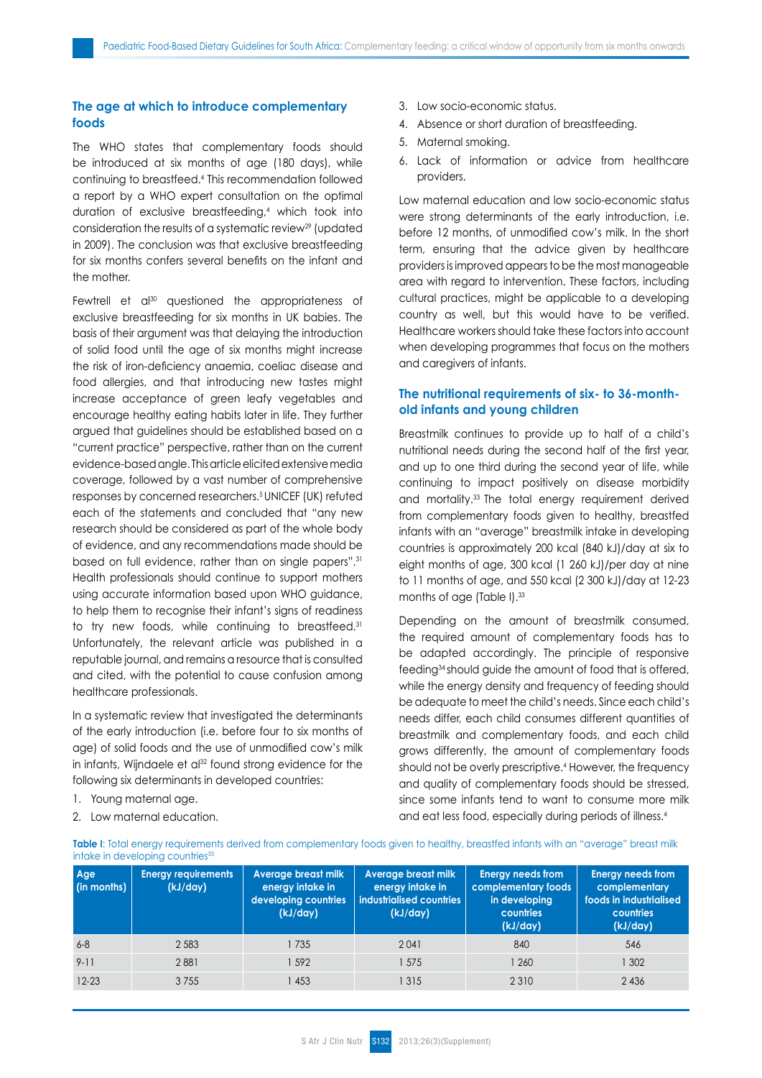# **The age at which to introduce complementary foods**

The WHO states that complementary foods should be introduced at six months of age (180 days), while continuing to breastfeed.4 This recommendation followed a report by a WHO expert consultation on the optimal duration of exclusive breastfeeding,4 which took into consideration the results of a systematic review<sup>29</sup> (updated in 2009). The conclusion was that exclusive breastfeeding for six months confers several benefits on the infant and the mother.

Fewtrell et al<sup>30</sup> questioned the appropriateness of exclusive breastfeeding for six months in UK babies. The basis of their argument was that delaying the introduction of solid food until the age of six months might increase the risk of iron-deficiency anaemia, coeliac disease and food allergies, and that introducing new tastes might increase acceptance of green leafy vegetables and encourage healthy eating habits later in life. They further argued that guidelines should be established based on a "current practice" perspective, rather than on the current evidence-based angle. This article elicited extensive media coverage, followed by a vast number of comprehensive responses by concerned researchers.<sup>5</sup> UNICEF (UK) refuted each of the statements and concluded that "any new research should be considered as part of the whole body of evidence, and any recommendations made should be based on full evidence, rather than on single papers".31 Health professionals should continue to support mothers using accurate information based upon WHO guidance, to help them to recognise their infant's signs of readiness to try new foods, while continuing to breastfeed.<sup>31</sup> Unfortunately, the relevant article was published in a reputable journal, and remains a resource that is consulted and cited, with the potential to cause confusion among healthcare professionals.

In a systematic review that investigated the determinants of the early introduction (i.e. before four to six months of age) of solid foods and the use of unmodified cow's milk in infants, Wijndaele et al<sup>32</sup> found strong evidence for the following six determinants in developed countries:

- 1. Young maternal age.
- 2. Low maternal education.
- 3. Low socio-economic status.
- 4. Absence or short duration of breastfeeding.
- 5. Maternal smoking.
- 6. Lack of information or advice from healthcare providers.

Low maternal education and low socio-economic status were strong determinants of the early introduction, i.e. before 12 months, of unmodified cow's milk. In the short term, ensuring that the advice given by healthcare providers is improved appears to be the most manageable area with regard to intervention. These factors, including cultural practices, might be applicable to a developing country as well, but this would have to be verified. Healthcare workers should take these factors into account when developing programmes that focus on the mothers and caregivers of infants.

## **The nutritional requirements of six- to 36-monthold infants and young children**

Breastmilk continues to provide up to half of a child's nutritional needs during the second half of the first year, and up to one third during the second year of life, while continuing to impact positively on disease morbidity and mortality.33 The total energy requirement derived from complementary foods given to healthy, breastfed infants with an "average" breastmilk intake in developing countries is approximately 200 kcal (840 kJ)/day at six to eight months of age, 300 kcal (1 260 kJ)/per day at nine to 11 months of age, and 550 kcal (2 300 kJ)/day at 12-23 months of age (Table I).<sup>33</sup>

Depending on the amount of breastmilk consumed, the required amount of complementary foods has to be adapted accordingly. The principle of responsive feeding34 should guide the amount of food that is offered, while the energy density and frequency of feeding should be adequate to meet the child's needs. Since each child's needs differ, each child consumes different quantities of breastmilk and complementary foods, and each child grows differently, the amount of complementary foods should not be overly prescriptive.<sup>4</sup> However, the frequency and quality of complementary foods should be stressed, since some infants tend to want to consume more milk and eat less food, especially during periods of illness.4

Table I: Total energy requirements derived from complementary foods given to healthy, breastfed infants with an "average" breast milk intake in developing countries<sup>33</sup>

| Age<br>$\left  \right $ (in months) | <b>Energy requirements</b><br>(kJ/day) | Average breast milk<br>energy intake in<br>developing countries<br>(kJ/day) | Average breast milk<br>energy intake in<br>industrialised countries<br>(kJ/day) | <b>Energy needs from</b><br>complementary foods<br>in developing<br>countries<br>(kJ/day) | <b>Energy needs from</b><br>complementary<br>foods in industrialised<br>countries<br>(kJ/day) |
|-------------------------------------|----------------------------------------|-----------------------------------------------------------------------------|---------------------------------------------------------------------------------|-------------------------------------------------------------------------------------------|-----------------------------------------------------------------------------------------------|
| $6 - 8$                             | 2 5 8 3                                | 1735                                                                        | 2041                                                                            | 840                                                                                       | 546                                                                                           |
| $9 - 11$                            | 2881                                   | 592                                                                         | 575                                                                             | 1 260                                                                                     | 302                                                                                           |
| $12 - 23$                           | 3 7 5 5                                | 453                                                                         | 1315                                                                            | 2 3 1 0                                                                                   | 2436                                                                                          |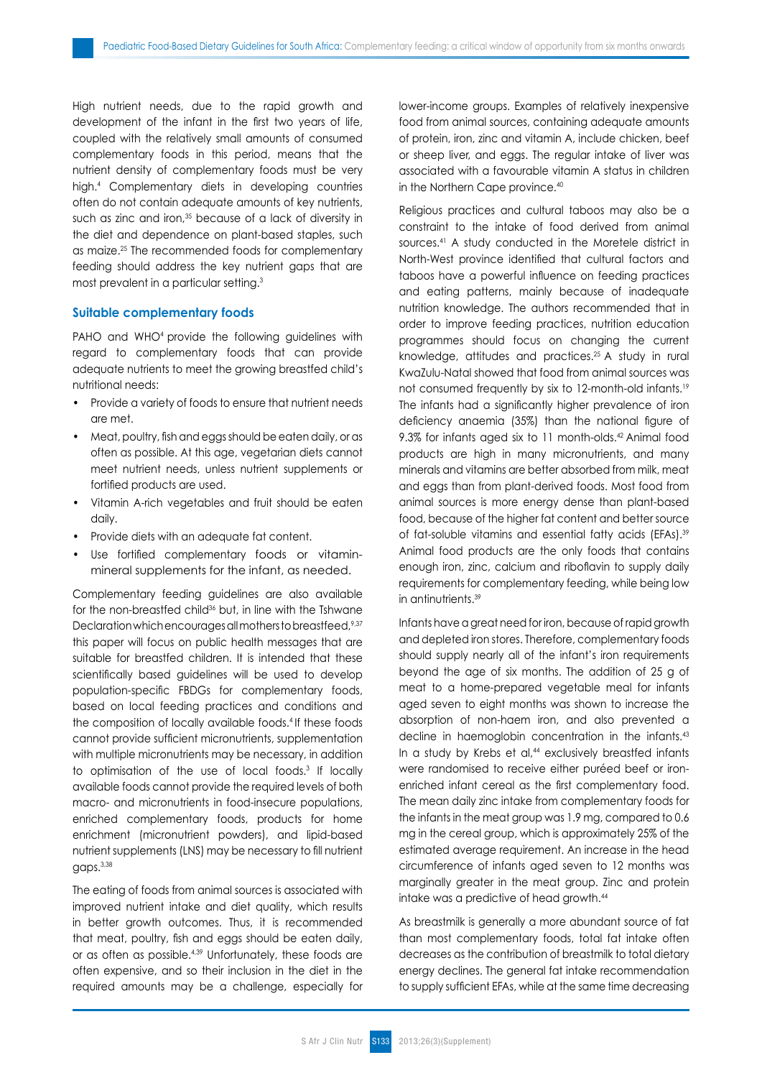High nutrient needs, due to the rapid growth and development of the infant in the first two years of life, coupled with the relatively small amounts of consumed complementary foods in this period, means that the nutrient density of complementary foods must be very high.4 Complementary diets in developing countries often do not contain adequate amounts of key nutrients, such as zinc and iron,<sup>35</sup> because of a lack of diversity in the diet and dependence on plant-based staples, such as maize.25 The recommended foods for complementary feeding should address the key nutrient gaps that are most prevalent in a particular setting.3

#### **Suitable complementary foods**

PAHO and WHO<sup>4</sup> provide the following quidelines with regard to complementary foods that can provide adequate nutrients to meet the growing breastfed child's nutritional needs:

- Provide a variety of foods to ensure that nutrient needs are met.
- Meat, poultry, fish and eggs should be eaten daily, or as often as possible. At this age, vegetarian diets cannot meet nutrient needs, unless nutrient supplements or fortified products are used.
- Vitamin A-rich vegetables and fruit should be eaten daily.
- Provide diets with an adequate fat content.
- Use fortified complementary foods or vitaminmineral supplements for the infant, as needed.

Complementary feeding guidelines are also available for the non-breastfed child<sup>36</sup> but, in line with the Tshwane Declaration which encourages all mothers to breastfeed, 9,37 this paper will focus on public health messages that are suitable for breastfed children. It is intended that these scientifically based guidelines will be used to develop population-specific FBDGs for complementary foods, based on local feeding practices and conditions and the composition of locally available foods.<sup>4</sup> If these foods cannot provide sufficient micronutrients, supplementation with multiple micronutrients may be necessary, in addition to optimisation of the use of local foods.3 If locally available foods cannot provide the required levels of both macro- and micronutrients in food-insecure populations, enriched complementary foods, products for home enrichment (micronutrient powders), and lipid-based nutrient supplements (LNS) may be necessary to fill nutrient gaps.3,38

The eating of foods from animal sources is associated with improved nutrient intake and diet quality, which results in better growth outcomes. Thus, it is recommended that meat, poultry, fish and eggs should be eaten daily, or as often as possible.4,39 Unfortunately, these foods are often expensive, and so their inclusion in the diet in the required amounts may be a challenge, especially for lower-income groups. Examples of relatively inexpensive food from animal sources, containing adequate amounts of protein, iron, zinc and vitamin A, include chicken, beef or sheep liver, and eggs. The regular intake of liver was associated with a favourable vitamin A status in children in the Northern Cape province.<sup>40</sup>

Religious practices and cultural taboos may also be a constraint to the intake of food derived from animal sources.41 A study conducted in the Moretele district in North-West province identified that cultural factors and taboos have a powerful influence on feeding practices and eating patterns, mainly because of inadequate nutrition knowledge. The authors recommended that in order to improve feeding practices, nutrition education programmes should focus on changing the current knowledge, attitudes and practices.25 A study in rural KwaZulu-Natal showed that food from animal sources was not consumed frequently by six to 12-month-old infants.19 The infants had a significantly higher prevalence of iron deficiency anaemia (35%) than the national figure of 9.3% for infants aged six to 11 month-olds.42 Animal food products are high in many micronutrients, and many minerals and vitamins are better absorbed from milk, meat and eggs than from plant-derived foods. Most food from animal sources is more energy dense than plant-based food, because of the higher fat content and better source of fat-soluble vitamins and essential fatty acids (EFAs).39 Animal food products are the only foods that contains enough iron, zinc, calcium and riboflavin to supply daily requirements for complementary feeding, while being low in antinutrients.39

Infants have a great need for iron, because of rapid growth and depleted iron stores. Therefore, complementary foods should supply nearly all of the infant's iron requirements beyond the age of six months. The addition of 25 g of meat to a home-prepared vegetable meal for infants aged seven to eight months was shown to increase the absorption of non-haem iron, and also prevented a decline in haemoglobin concentration in the infants.43 In a study by Krebs et al,<sup>44</sup> exclusively breastfed infants were randomised to receive either puréed beef or ironenriched infant cereal as the first complementary food. The mean daily zinc intake from complementary foods for the infants in the meat group was 1.9 mg, compared to 0.6 mg in the cereal group, which is approximately 25% of the estimated average requirement. An increase in the head circumference of infants aged seven to 12 months was marginally greater in the meat group. Zinc and protein intake was a predictive of head growth.44

As breastmilk is generally a more abundant source of fat than most complementary foods, total fat intake often decreases as the contribution of breastmilk to total dietary energy declines. The general fat intake recommendation to supply sufficient EFAs, while at the same time decreasing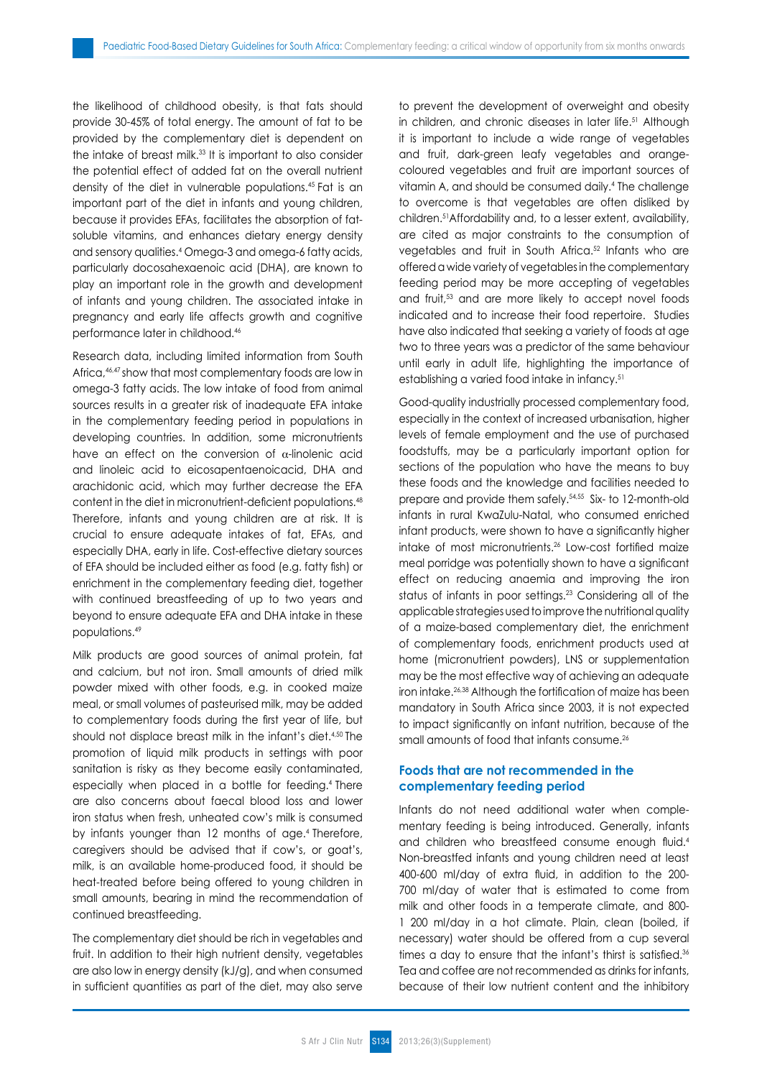the likelihood of childhood obesity, is that fats should provide 30-45% of total energy. The amount of fat to be provided by the complementary diet is dependent on the intake of breast milk.33 It is important to also consider the potential effect of added fat on the overall nutrient density of the diet in vulnerable populations.45 Fat is an important part of the diet in infants and young children, because it provides EFAs, facilitates the absorption of fatsoluble vitamins, and enhances dietary energy density and sensory qualities.4 Omega-3 and omega-6 fatty acids, particularly docosahexaenoic acid (DHA), are known to play an important role in the growth and development of infants and young children. The associated intake in pregnancy and early life affects growth and cognitive performance later in childhood.46

Research data, including limited information from South Africa,46,47 show that most complementary foods are low in omega-3 fatty acids. The low intake of food from animal sources results in a greater risk of inadequate EFA intake in the complementary feeding period in populations in developing countries. In addition, some micronutrients have an effect on the conversion of  $\alpha$ -linolenic acid and linoleic acid to eicosapentaenoicacid, DHA and arachidonic acid, which may further decrease the EFA content in the diet in micronutrient-deficient populations.<sup>48</sup> Therefore, infants and young children are at risk. It is crucial to ensure adequate intakes of fat, EFAs, and especially DHA, early in life. Cost-effective dietary sources of EFA should be included either as food (e.g. fatty fish) or enrichment in the complementary feeding diet, together with continued breastfeeding of up to two years and beyond to ensure adequate EFA and DHA intake in these populations.49

Milk products are good sources of animal protein, fat and calcium, but not iron. Small amounts of dried milk powder mixed with other foods, e.g. in cooked maize meal, or small volumes of pasteurised milk, may be added to complementary foods during the first year of life, but should not displace breast milk in the infant's diet.<sup>4,50</sup> The promotion of liquid milk products in settings with poor sanitation is risky as they become easily contaminated, especially when placed in a bottle for feeding.4 There are also concerns about faecal blood loss and lower iron status when fresh, unheated cow's milk is consumed by infants younger than 12 months of age.<sup>4</sup> Therefore, caregivers should be advised that if cow's, or goat's, milk, is an available home-produced food, it should be heat-treated before being offered to young children in small amounts, bearing in mind the recommendation of continued breastfeeding.

The complementary diet should be rich in vegetables and fruit. In addition to their high nutrient density, vegetables are also low in energy density (kJ/g), and when consumed in sufficient quantities as part of the diet, may also serve to prevent the development of overweight and obesity in children, and chronic diseases in later life.<sup>51</sup> Although it is important to include a wide range of vegetables and fruit, dark-green leafy vegetables and orangecoloured vegetables and fruit are important sources of vitamin A, and should be consumed daily.<sup>4</sup> The challenge to overcome is that vegetables are often disliked by children.51Affordability and, to a lesser extent, availability, are cited as major constraints to the consumption of vegetables and fruit in South Africa.<sup>52</sup> Infants who are offered a wide variety of vegetables in the complementary feeding period may be more accepting of vegetables and fruit,53 and are more likely to accept novel foods indicated and to increase their food repertoire. Studies have also indicated that seeking a variety of foods at age two to three years was a predictor of the same behaviour until early in adult life, highlighting the importance of establishing a varied food intake in infancy.51

Good-quality industrially processed complementary food, especially in the context of increased urbanisation, higher levels of female employment and the use of purchased foodstuffs, may be a particularly important option for sections of the population who have the means to buy these foods and the knowledge and facilities needed to prepare and provide them safely.54,55 Six- to 12-month-old infants in rural KwaZulu-Natal, who consumed enriched infant products, were shown to have a significantly higher intake of most micronutrients.26 Low-cost fortified maize meal porridge was potentially shown to have a significant effect on reducing anaemia and improving the iron status of infants in poor settings.<sup>23</sup> Considering all of the applicable strategies used to improve the nutritional quality of a maize-based complementary diet, the enrichment of complementary foods, enrichment products used at home (micronutrient powders), LNS or supplementation may be the most effective way of achieving an adequate iron intake.26,38 Although the fortification of maize has been mandatory in South Africa since 2003, it is not expected to impact significantly on infant nutrition, because of the small amounts of food that infants consume.<sup>26</sup>

## **Foods that are not recommended in the complementary feeding period**

Infants do not need additional water when complementary feeding is being introduced. Generally, infants and children who breastfeed consume enough fluid.<sup>4</sup> Non-breastfed infants and young children need at least 400-600 ml/day of extra fluid, in addition to the 200- 700 ml/day of water that is estimated to come from milk and other foods in a temperate climate, and 800- 1 200 ml/day in a hot climate. Plain, clean (boiled, if necessary) water should be offered from a cup several times a day to ensure that the infant's thirst is satisfied.<sup>36</sup> Tea and coffee are not recommended as drinks for infants, because of their low nutrient content and the inhibitory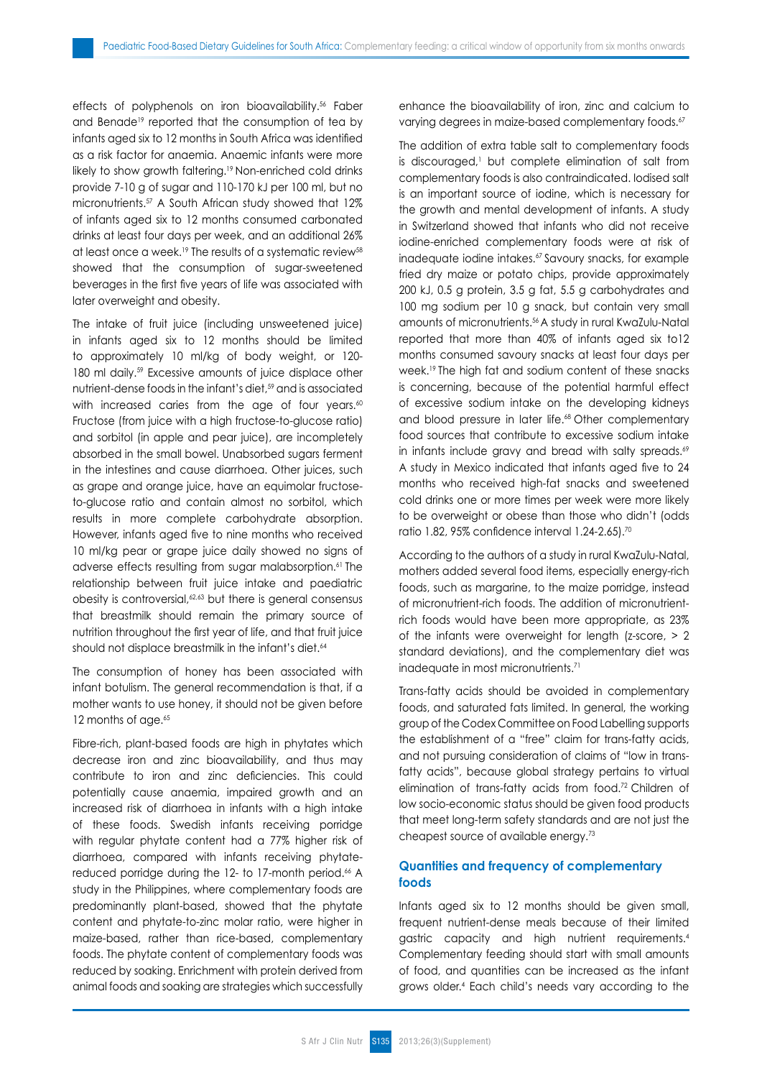effects of polyphenols on iron bioavailability.<sup>56</sup> Faber and Benade<sup>19</sup> reported that the consumption of tea by infants aged six to 12 months in South Africa was identified as a risk factor for anaemia. Anaemic infants were more likely to show growth faltering.<sup>19</sup> Non-enriched cold drinks provide 7-10 g of sugar and 110-170 kJ per 100 ml, but no micronutrients.57 A South African study showed that 12% of infants aged six to 12 months consumed carbonated drinks at least four days per week, and an additional 26% at least once a week.<sup>19</sup> The results of a systematic review<sup>58</sup> showed that the consumption of sugar-sweetened beverages in the first five years of life was associated with later overweight and obesity.

The intake of fruit juice (including unsweetened juice) in infants aged six to 12 months should be limited to approximately 10 ml/kg of body weight, or 120- 180 ml daily.<sup>59</sup> Excessive amounts of juice displace other nutrient-dense foods in the infant's diet,<sup>59</sup> and is associated with increased caries from the age of four years.<sup>60</sup> Fructose (from juice with a high fructose-to-glucose ratio) and sorbitol (in apple and pear juice), are incompletely absorbed in the small bowel. Unabsorbed sugars ferment in the intestines and cause diarrhoea. Other juices, such as grape and orange juice, have an equimolar fructoseto-glucose ratio and contain almost no sorbitol, which results in more complete carbohydrate absorption. However, infants aged five to nine months who received 10 ml/kg pear or grape juice daily showed no signs of adverse effects resulting from sugar malabsorption.<sup>61</sup> The relationship between fruit juice intake and paediatric obesity is controversial,<sup>62,63</sup> but there is general consensus that breastmilk should remain the primary source of nutrition throughout the first year of life, and that fruit juice should not displace breastmilk in the infant's diet.<sup>64</sup>

The consumption of honey has been associated with infant botulism. The general recommendation is that, if a mother wants to use honey, it should not be given before 12 months of age.<sup>65</sup>

Fibre-rich, plant-based foods are high in phytates which decrease iron and zinc bioavailability, and thus may contribute to iron and zinc deficiencies. This could potentially cause anaemia, impaired growth and an increased risk of diarrhoea in infants with a high intake of these foods. Swedish infants receiving porridge with regular phytate content had a 77% higher risk of diarrhoea, compared with infants receiving phytatereduced porridge during the 12- to 17-month period.<sup>66</sup> A study in the Philippines, where complementary foods are predominantly plant-based, showed that the phytate content and phytate-to-zinc molar ratio, were higher in maize-based, rather than rice-based, complementary foods. The phytate content of complementary foods was reduced by soaking. Enrichment with protein derived from animal foods and soaking are strategies which successfully enhance the bioavailability of iron, zinc and calcium to varying degrees in maize-based complementary foods.<sup>67</sup>

The addition of extra table salt to complementary foods is discouraged,<sup>1</sup> but complete elimination of salt from complementary foods is also contraindicated. Iodised salt is an important source of iodine, which is necessary for the growth and mental development of infants. A study in Switzerland showed that infants who did not receive iodine-enriched complementary foods were at risk of inadequate iodine intakes.<sup>67</sup> Savoury snacks, for example fried dry maize or potato chips, provide approximately 200 kJ, 0.5 g protein, 3.5 g fat, 5.5 g carbohydrates and 100 mg sodium per 10 g snack, but contain very small amounts of micronutrients.56 A study in rural KwaZulu-Natal reported that more than 40% of infants aged six to12 months consumed savoury snacks at least four days per week.<sup>19</sup> The high fat and sodium content of these snacks is concerning, because of the potential harmful effect of excessive sodium intake on the developing kidneys and blood pressure in later life.<sup>68</sup> Other complementary food sources that contribute to excessive sodium intake in infants include gravy and bread with salty spreads.<sup>69</sup> A study in Mexico indicated that infants aged five to 24 months who received high-fat snacks and sweetened cold drinks one or more times per week were more likely to be overweight or obese than those who didn't (odds ratio 1.82, 95% confidence interval 1.24-2.65).<sup>70</sup>

According to the authors of a study in rural KwaZulu-Natal, mothers added several food items, especially energy-rich foods, such as margarine, to the maize porridge, instead of micronutrient-rich foods. The addition of micronutrientrich foods would have been more appropriate, as 23% of the infants were overweight for length (z-score, > 2 standard deviations), and the complementary diet was inadequate in most micronutrients.<sup>71</sup>

Trans-fatty acids should be avoided in complementary foods, and saturated fats limited. In general, the working group of the Codex Committee on Food Labelling supports the establishment of a "free" claim for trans-fatty acids, and not pursuing consideration of claims of "low in transfatty acids", because global strategy pertains to virtual elimination of trans-fatty acids from food.72 Children of low socio-economic status should be given food products that meet long-term safety standards and are not just the cheapest source of available energy.73

## **Quantities and frequency of complementary foods**

Infants aged six to 12 months should be given small, frequent nutrient-dense meals because of their limited gastric capacity and high nutrient requirements.4 Complementary feeding should start with small amounts of food, and quantities can be increased as the infant grows older.4 Each child's needs vary according to the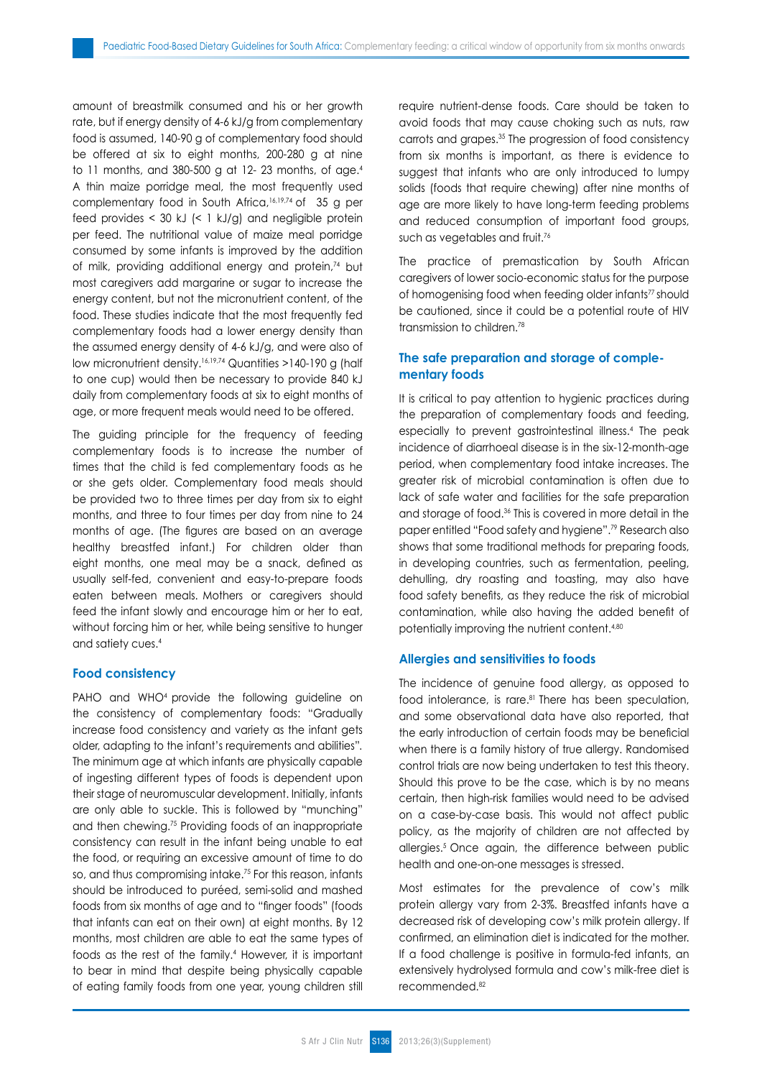amount of breastmilk consumed and his or her growth rate, but if energy density of 4-6 kJ/g from complementary food is assumed, 140-90 g of complementary food should be offered at six to eight months, 200-280 g at nine to 11 months, and 380-500 g at 12-23 months, of age.<sup>4</sup> A thin maize porridge meal, the most frequently used complementary food in South Africa,16,19,74 of 35 g per feed provides  $<$  30 kJ  $\leq$  1 kJ/g) and negligible protein per feed. The nutritional value of maize meal porridge consumed by some infants is improved by the addition of milk, providing additional energy and protein,<sup>74</sup> but most caregivers add margarine or sugar to increase the energy content, but not the micronutrient content, of the food. These studies indicate that the most frequently fed complementary foods had a lower energy density than the assumed energy density of 4-6 kJ/g, and were also of low micronutrient density.16,19,74 Quantities >140-190 g (half to one cup) would then be necessary to provide 840 kJ daily from complementary foods at six to eight months of age, or more frequent meals would need to be offered.

The guiding principle for the frequency of feeding complementary foods is to increase the number of times that the child is fed complementary foods as he or she gets older. Complementary food meals should be provided two to three times per day from six to eight months, and three to four times per day from nine to 24 months of age. (The figures are based on an average healthy breastfed infant.) For children older than eight months, one meal may be a snack, defined as usually self-fed, convenient and easy-to-prepare foods eaten between meals. Mothers or caregivers should feed the infant slowly and encourage him or her to eat, without forcing him or her, while being sensitive to hunger and satiety cues.4

#### **Food consistency**

PAHO and WHO<sup>4</sup> provide the following guideline on the consistency of complementary foods: "Gradually increase food consistency and variety as the infant gets older, adapting to the infant's requirements and abilities"*.* The minimum age at which infants are physically capable of ingesting different types of foods is dependent upon their stage of neuromuscular development. Initially, infants are only able to suckle. This is followed by "munching" and then chewing.75 Providing foods of an inappropriate consistency can result in the infant being unable to eat the food, or requiring an excessive amount of time to do so, and thus compromising intake.75 For this reason, infants should be introduced to puréed, semi-solid and mashed foods from six months of age and to "finger foods" (foods that infants can eat on their own) at eight months. By 12 months, most children are able to eat the same types of foods as the rest of the family.4 However, it is important to bear in mind that despite being physically capable of eating family foods from one year, young children still require nutrient-dense foods. Care should be taken to avoid foods that may cause choking such as nuts, raw carrots and grapes.35 The progression of food consistency from six months is important, as there is evidence to suggest that infants who are only introduced to lumpy solids (foods that require chewing) after nine months of age are more likely to have long-term feeding problems and reduced consumption of important food groups, such as vegetables and fruit.<sup>76</sup>

The practice of premastication by South African caregivers of lower socio-economic status for the purpose of homogenising food when feeding older infants<sup>77</sup> should be cautioned, since it could be a potential route of HIV transmission to children.78

# **The safe preparation and storage of complementary foods**

It is critical to pay attention to hygienic practices during the preparation of complementary foods and feeding, especially to prevent gastrointestinal illness.4 The peak incidence of diarrhoeal disease is in the six-12-month-age period, when complementary food intake increases. The greater risk of microbial contamination is often due to lack of safe water and facilities for the safe preparation and storage of food.36 This is covered in more detail in the paper entitled "Food safety and hygiene".79 Research also shows that some traditional methods for preparing foods, in developing countries, such as fermentation, peeling, dehulling, dry roasting and toasting, may also have food safety benefits, as they reduce the risk of microbial contamination, while also having the added benefit of potentially improving the nutrient content.<sup>4,80</sup>

#### **Allergies and sensitivities to foods**

The incidence of genuine food allergy, as opposed to food intolerance, is rare.<sup>81</sup> There has been speculation, and some observational data have also reported, that the early introduction of certain foods may be beneficial when there is a family history of true allergy. Randomised control trials are now being undertaken to test this theory. Should this prove to be the case, which is by no means certain, then high-risk families would need to be advised on a case-by-case basis. This would not affect public policy, as the majority of children are not affected by allergies.5 Once again, the difference between public health and one-on-one messages is stressed.

Most estimates for the prevalence of cow's milk protein allergy vary from 2-3%. Breastfed infants have a decreased risk of developing cow's milk protein allergy. If confirmed, an elimination diet is indicated for the mother. If a food challenge is positive in formula-fed infants, an extensively hydrolysed formula and cow's milk-free diet is recommended.82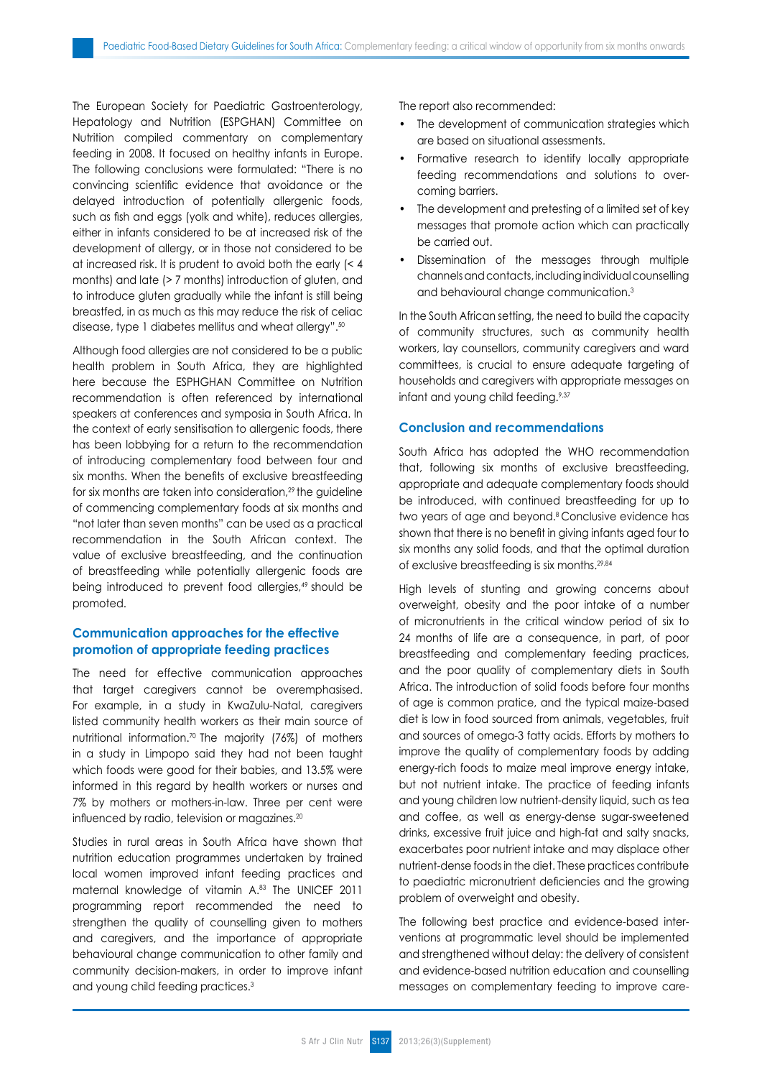The European Society for Paediatric Gastroenterology, Hepatology and Nutrition (ESPGHAN) Committee on Nutrition compiled commentary on complementary feeding in 2008. It focused on healthy infants in Europe. The following conclusions were formulated: "There is no convincing scientific evidence that avoidance or the delayed introduction of potentially allergenic foods, such as fish and eggs (yolk and white), reduces allergies, either in infants considered to be at increased risk of the development of allergy, or in those not considered to be at increased risk. It is prudent to avoid both the early (< 4 months) and late (> 7 months) introduction of gluten, and to introduce gluten gradually while the infant is still being breastfed, in as much as this may reduce the risk of celiac disease, type 1 diabetes mellitus and wheat allergy".50

Although food allergies are not considered to be a public health problem in South Africa, they are highlighted here because the ESPHGHAN Committee on Nutrition recommendation is often referenced by international speakers at conferences and symposia in South Africa. In the context of early sensitisation to allergenic foods, there has been lobbying for a return to the recommendation of introducing complementary food between four and six months. When the benefits of exclusive breastfeeding for six months are taken into consideration,<sup>29</sup> the quideline of commencing complementary foods at six months and "not later than seven months" can be used as a practical recommendation in the South African context. The value of exclusive breastfeeding, and the continuation of breastfeeding while potentially allergenic foods are being introduced to prevent food allergies,<sup>49</sup> should be promoted.

## **Communication approaches for the effective promotion of appropriate feeding practices**

The need for effective communication approaches that target caregivers cannot be overemphasised. For example, in a study in KwaZulu-Natal, caregivers listed community health workers as their main source of nutritional information.70 The majority (76%) of mothers in a study in Limpopo said they had not been taught which foods were good for their babies, and 13.5% were informed in this regard by health workers or nurses and 7% by mothers or mothers-in-law. Three per cent were influenced by radio, television or magazines.<sup>20</sup>

Studies in rural areas in South Africa have shown that nutrition education programmes undertaken by trained local women improved infant feeding practices and maternal knowledge of vitamin A.83 The UNICEF 2011 programming report recommended the need to strengthen the quality of counselling given to mothers and caregivers, and the importance of appropriate behavioural change communication to other family and community decision-makers, in order to improve infant and young child feeding practices.3

The report also recommended:

- The development of communication strategies which are based on situational assessments.
- Formative research to identify locally appropriate feeding recommendations and solutions to overcoming barriers.
- The development and pretesting of a limited set of key messages that promote action which can practically be carried out.
- Dissemination of the messages through multiple channels and contacts, including individual counselling and behavioural change communication.3

In the South African setting, the need to build the capacity of community structures, such as community health workers, lay counsellors, community caregivers and ward committees, is crucial to ensure adequate targeting of households and caregivers with appropriate messages on infant and young child feeding.<sup>9,37</sup>

### **Conclusion and recommendations**

South Africa has adopted the WHO recommendation that, following six months of exclusive breastfeeding, appropriate and adequate complementary foods should be introduced, with continued breastfeeding for up to two years of age and beyond.<sup>8</sup> Conclusive evidence has shown that there is no benefit in giving infants aged four to six months any solid foods, and that the optimal duration of exclusive breastfeeding is six months.29,84

High levels of stunting and growing concerns about overweight, obesity and the poor intake of a number of micronutrients in the critical window period of six to 24 months of life are a consequence, in part, of poor breastfeeding and complementary feeding practices, and the poor quality of complementary diets in South Africa. The introduction of solid foods before four months of age is common pratice, and the typical maize-based diet is low in food sourced from animals, vegetables, fruit and sources of omega-3 fatty acids. Efforts by mothers to improve the quality of complementary foods by adding energy-rich foods to maize meal improve energy intake, but not nutrient intake. The practice of feeding infants and young children low nutrient-density liquid, such as tea and coffee, as well as energy-dense sugar-sweetened drinks, excessive fruit juice and high-fat and salty snacks, exacerbates poor nutrient intake and may displace other nutrient-dense foods in the diet. These practices contribute to paediatric micronutrient deficiencies and the growing problem of overweight and obesity.

The following best practice and evidence-based interventions at programmatic level should be implemented and strengthened without delay: the delivery of consistent and evidence-based nutrition education and counselling messages on complementary feeding to improve care-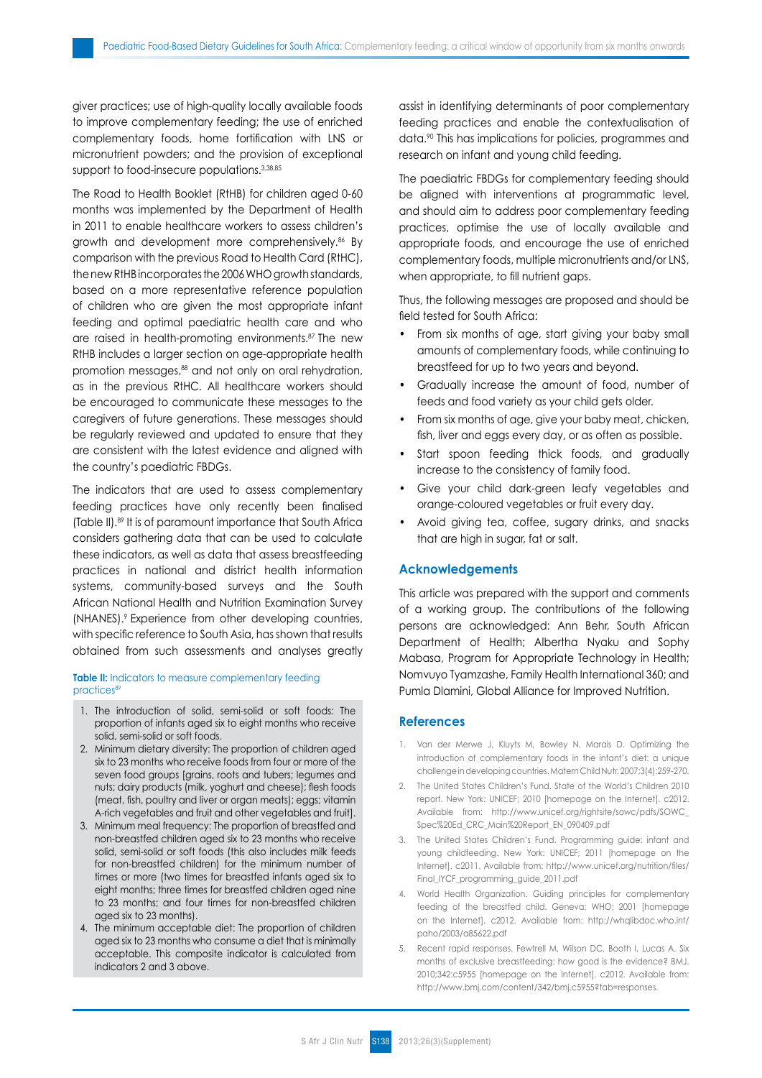giver practices; use of high-quality locally available foods to improve complementary feeding; the use of enriched complementary foods, home fortification with LNS or micronutrient powders; and the provision of exceptional support to food-insecure populations.<sup>3,38,85</sup>

The Road to Health Booklet (RtHB) for children aged 0-60 months was implemented by the Department of Health in 2011 to enable healthcare workers to assess children's growth and development more comprehensively.<sup>86</sup> By comparison with the previous Road to Health Card (RtHC), the new RtHB incorporates the 2006 WHO growth standards, based on a more representative reference population of children who are given the most appropriate infant feeding and optimal paediatric health care and who are raised in health-promoting environments.87 The new RtHB includes a larger section on age-appropriate health promotion messages,<sup>88</sup> and not only on oral rehydration, as in the previous RtHC. All healthcare workers should be encouraged to communicate these messages to the caregivers of future generations. These messages should be regularly reviewed and updated to ensure that they are consistent with the latest evidence and aligned with the country's paediatric FBDGs.

The indicators that are used to assess complementary feeding practices have only recently been finalised (Table II).89 It is of paramount importance that South Africa considers gathering data that can be used to calculate these indicators, as well as data that assess breastfeeding practices in national and district health information systems, community-based surveys and the South African National Health and Nutrition Examination Survey (NHANES).9 Experience from other developing countries, with specific reference to South Asia, has shown that results obtained from such assessments and analyses greatly

**Table II:** Indicators to measure complementary feeding practices<sup>89</sup>

- 1. The introduction of solid, semi-solid or soft foods: The proportion of infants aged six to eight months who receive solid, semi-solid or soft foods.
- 2. Minimum dietary diversity: The proportion of children aged six to 23 months who receive foods from four or more of the seven food groups [grains, roots and tubers; legumes and nuts; dairy products (milk, yoghurt and cheese); flesh foods (meat, fish, poultry and liver or organ meats); eggs; vitamin A-rich vegetables and fruit and other vegetables and fruit].
- 3. Minimum meal frequency: The proportion of breastfed and non-breastfed children aged six to 23 months who receive solid, semi-solid or soft foods (this also includes milk feeds for non-breastfed children) for the minimum number of times or more (two times for breastfed infants aged six to eight months; three times for breastfed children aged nine to 23 months; and four times for non-breastfed children aged six to 23 months).
- 4. The minimum acceptable diet: The proportion of children aged six to 23 months who consume a diet that is minimally acceptable. This composite indicator is calculated from indicators 2 and 3 above.

assist in identifying determinants of poor complementary feeding practices and enable the contextualisation of data.<sup>90</sup> This has implications for policies, programmes and research on infant and young child feeding.

The paediatric FBDGs for complementary feeding should be aligned with interventions at programmatic level, and should aim to address poor complementary feeding practices, optimise the use of locally available and appropriate foods, and encourage the use of enriched complementary foods, multiple micronutrients and/or LNS, when appropriate, to fill nutrient gaps.

Thus, the following messages are proposed and should be field tested for South Africa:

- From six months of age, start giving your baby small amounts of complementary foods, while continuing to breastfeed for up to two years and beyond.
- Gradually increase the amount of food, number of feeds and food variety as your child gets older.
- From six months of age, give your baby meat, chicken, fish, liver and eggs every day, or as often as possible.
- Start spoon feeding thick foods, and gradually increase to the consistency of family food.
- Give your child dark-green leafy vegetables and orange-coloured vegetables or fruit every day.
- Avoid giving tea, coffee, sugary drinks, and snacks that are high in sugar, fat or salt.

#### **Acknowledgements**

This article was prepared with the support and comments of a working group. The contributions of the following persons are acknowledged: Ann Behr, South African Department of Health; Albertha Nyaku and Sophy Mabasa, Program for Appropriate Technology in Health; Nomvuyo Tyamzashe, Family Health International 360; and Pumla Dlamini, Global Alliance for Improved Nutrition.

#### **References**

- 1. Van der Merwe J, Kluyts M, Bowley N, Marais D. Optimizing the introduction of complementary foods in the infant's diet: a unique challenge in developing countries. Matern Child Nutr. 2007;3(4):259-270.
- 2. The United States Children's Fund. State of the World's Children 2010 report. New York: UNICEF; 2010 [homepage on the Internet]. c2012. Available from: http://www.unicef.org/rightsite/sowc/pdfs/SOWC\_ Spec%20Ed\_CRC\_Main%20Report\_EN\_090409.pdf
- 3. The United States Children's Fund. Programming guide: infant and young childfeeding. New York: UNICEF; 2011 [homepage on the Internet]. c2011. Available from: http://www.unicef.org/nutrition/files/ Final\_IYCF\_programming\_guide\_2011.pdf
- 4. World Health Organization. Guiding principles for complementary feeding of the breastfed child. Geneva: WHO; 2001 [homepage on the Internet]. c2012. Available from: http://whqlibdoc.who.int/ paho/2003/a85622.pdf
- 5. Recent rapid responses. Fewtrell M, Wilson DC, Booth I, Lucas A. Six months of exclusive breastfeeding: how good is the evidence? BMJ. 2010;342:c5955 [homepage on the Internet]. c2012. Available from: http://www.bmj.com/content/342/bmj.c5955?tab=responses.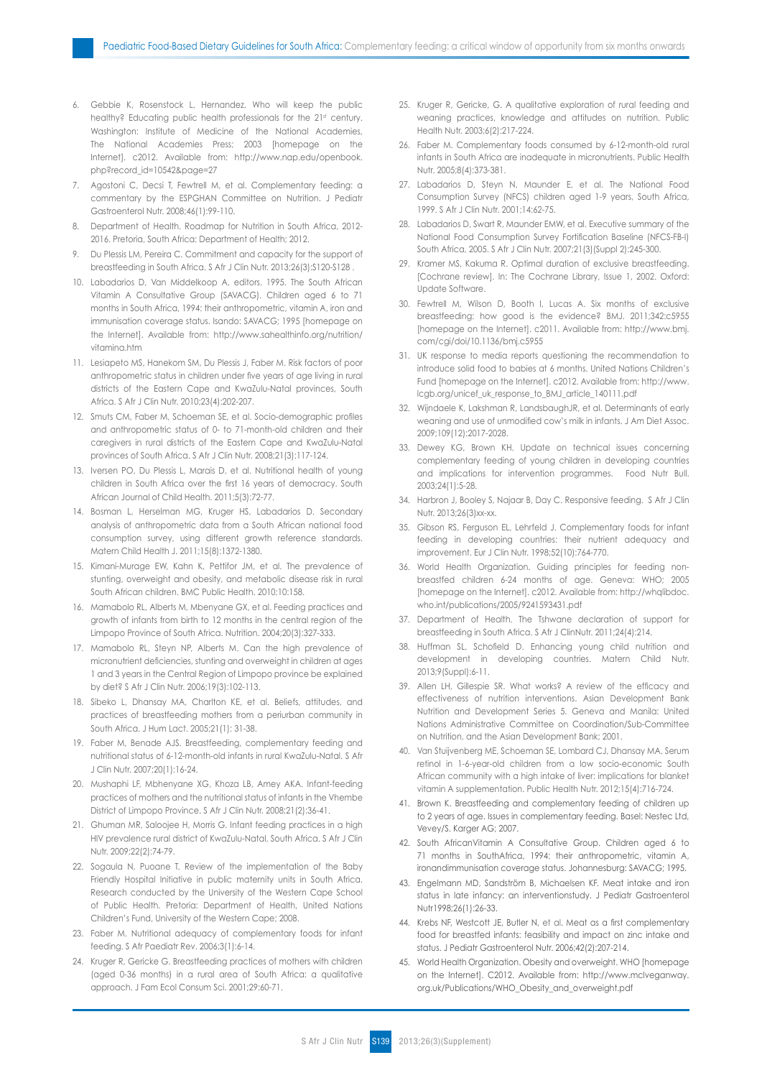- 6. Gebbie K, Rosenstock L, Hernandez. Who will keep the public healthy? Educating public health professionals for the 21st century. Washington: Institute of Medicine of the National Academies, The National Academies Press; 2003 [homepage on the Internet]. c2012. Available from: http://www.nap.edu/openbook. php?record\_id=10542&page=27
- 7. Agostoni C, Decsi T, Fewtrell M, et al. Complementary feeding: a commentary by the ESPGHAN Committee on Nutrition. J Pediatr Gastroenterol Nutr. 2008;46(1):99-110.
- 8. Department of Health. Roadmap for Nutrition in South Africa, 2012- 2016. Pretoria, South Africa: Department of Health; 2012.
- 9. Du Plessis LM, Pereira C. Commitment and capacity for the support of breastfeeding in South Africa. S Afr J Clin Nutr. 2013;26(3):S120-S128 .
- 10. Labadarios D, Van Middelkoop A, editors. 1995. The South African Vitamin A Consultative Group (SAVACG). Children aged 6 to 71 months in South Africa, 1994: their anthropometric, vitamin A, iron and immunisation coverage status. Isando: SAVACG; 1995 [homepage on the Internet]. Available from: http://www.sahealthinfo.org/nutrition/ vitamina.htm
- 11. Lesiapeto MS, Hanekom SM, Du Plessis J, Faber M. Risk factors of poor anthropometric status in children under five years of age living in rural districts of the Eastern Cape and KwaZulu-Natal provinces, South Africa. S Afr J Clin Nutr. 2010;23(4):202-207.
- 12. Smuts CM, Faber M, Schoeman SE, et al. Socio-demographic profiles and anthropometric status of 0- to 71-month-old children and their caregivers in rural districts of the Eastern Cape and KwaZulu-Natal provinces of South Africa. S Afr J Clin Nutr. 2008;21(3):117-124.
- 13. Iversen PO, Du Plessis L, Marais D, et al. Nutritional health of young children in South Africa over the first 16 years of democracy. South African Journal of Child Health. 2011;5(3):72-77.
- 14. Bosman L, Herselman MG, Kruger HS, Labadarios D. Secondary analysis of anthropometric data from a South African national food consumption survey, using different growth reference standards. Matern Child Health J. 2011;15(8):1372-1380.
- 15. Kimani-Murage EW, Kahn K, Pettifor JM, et al. The prevalence of stunting, overweight and obesity, and metabolic disease risk in rural South African children. BMC Public Health. 2010;10:158.
- 16. Mamabolo RL, Alberts M, Mbenyane GX, et al. Feeding practices and growth of infants from birth to 12 months in the central region of the Limpopo Province of South Africa. Nutrition. 2004;20(3):327-333.
- 17. Mamabolo RL, Steyn NP, Alberts M. Can the high prevalence of micronutrient deficiencies, stunting and overweight in children at ages 1 and 3 years in the Central Region of Limpopo province be explained by diet? S Afr J Clin Nutr. 2006;19(3):102-113.
- 18. Sibeko L, Dhansay MA, Charlton KE, et al. Beliefs, attitudes, and practices of breastfeeding mothers from a periurban community in South Africa. J Hum Lact. 2005;21(1): 31-38.
- 19. Faber M, Benade AJS. Breastfeeding, complementary feeding and nutritional status of 6-12-month-old infants in rural KwaZulu-Natal. S Afr J Clin Nutr. 2007;20(1):16-24.
- 20. Mushaphi LF, Mbhenyane XG, Khoza LB, Amey AKA. Infant-feeding practices of mothers and the nutritional status of infants in the Vhembe District of Limpopo Province. S Afr J Clin Nutr. 2008;21(2):36-41.
- 21. Ghuman MR, Saloojee H, Morris G. Infant feeding practices in a high HIV prevalence rural district of KwaZulu-Natal, South Africa. S Afr J Clin Nutr. 2009;22(2):74-79.
- 22. Sogaula N, Puoane T. Review of the implementation of the Baby Friendly Hospital Initiative in public maternity units in South Africa. Research conducted by the University of the Western Cape School of Public Health. Pretoria: Department of Health, United Nations Children's Fund, University of the Western Cape; 2008.
- 23. Faber M. Nutritional adequacy of complementary foods for infant feeding. S Afr Paediatr Rev. 2006;3(1):6-14.
- 24. Kruger R, Gericke G. Breastfeeding practices of mothers with children (aged 0-36 months) in a rural area of South Africa: a qualitative approach. J Fam Ecol Consum Sci. 2001;29:60-71.
- 25. Kruger R, Gericke, G. A qualitative exploration of rural feeding and weaning practices, knowledge and attitudes on nutrition. Public Health Nutr. 2003;6(2):217-224.
- 26. Faber M. Complementary foods consumed by 6-12-month-old rural infants in South Africa are inadequate in micronutrients. Public Health Nutr. 2005;8(4):373-381.
- 27. Labadarios D, Steyn N, Maunder E, et al. The National Food Consumption Survey (NFCS) children aged 1-9 years, South Africa, 1999. S Afr J Clin Nutr. 2001;14:62-75.
- 28. Labadarios D, Swart R, Maunder EMW, et al. Executive summary of the National Food Consumption Survey Fortification Baseline (NFCS-FB-I) South Africa, 2005. S Afr J Clin Nutr. 2007;21(3)(Suppl 2):245-300.
- 29. Kramer MS, Kakuma R. Optimal duration of exclusive breastfeeding. [Cochrane review]. In: The Cochrane Library, Issue 1, 2002. Oxford: Update Software.
- 30. Fewtrell M, Wilson D, Booth I, Lucas A. Six months of exclusive breastfeeding: how good is the evidence? BMJ. 2011;342:c5955 [homepage on the Internet]. c2011. Available from: http://www.bmj. com/cgi/doi/10.1136/bmj.c5955
- 31. UK response to media reports questioning the recommendation to introduce solid food to babies at 6 months. United Nations Children's Fund [homepage on the Internet]. c2012. Available from: http://www. lcgb.org/unicef\_uk\_response\_to\_BMJ\_article\_140111.pdf
- 32. Wijndaele K, Lakshman R, LandsbaughJR, et al. Determinants of early weaning and use of unmodified cow's milk in infants. J Am Diet Assoc. 2009;109(12):2017-2028.
- 33. Dewey KG, Brown KH. Update on technical issues concerning complementary feeding of young children in developing countries and implications for intervention programmes. Food Nutr Bull. 2003;24(1):5-28.
- 34. Harbron J, Booley S, Najaar B, Day C. Responsive feeding. S Afr J Clin Nutr. 2013;26(3)xx-xx.
- 35. Gibson RS, Ferguson EL, Lehrfeld J. Complementary foods for infant feeding in developing countries: their nutrient adequacy and improvement. Eur J Clin Nutr. 1998;52(10):764-770.
- 36. World Health Organization. Guiding principles for feeding nonbreastfed children 6-24 months of age. Geneva: WHO; 2005 [homepage on the Internet]. c2012. Available from: http://whqlibdoc. who.int/publications/2005/9241593431.pdf
- 37. Department of Health. The Tshwane declaration of support for breastfeeding in South Africa. S Afr J ClinNutr. 2011;24(4):214.
- 38. Huffman SL, Schofield D. Enhancing young child nutrition and development in developing countries. Matern Child Nutr. 2013;9(Suppl):6-11.
- 39. Allen LH, Gillespie SR. What works? A review of the efficacy and effectiveness of nutrition interventions. Asian Development Bank Nutrition and Development Series 5. Geneva and Manila: United Nations Administrative Committee on Coordination/Sub-Committee on Nutrition, and the Asian Development Bank; 2001.
- 40. Van Stuijvenberg ME, Schoeman SE, Lombard CJ, Dhansay MA. Serum retinol in 1-6-year-old children from a low socio-economic South African community with a high intake of liver: implications for blanket vitamin A supplementation. Public Health Nutr. 2012;15(4):716-724.
- 41. Brown K. Breastfeeding and complementary feeding of children up to 2 years of age. Issues in complementary feeding. Basel: Nestec Ltd, Vevey/S. Karger AG; 2007.
- 42. South AfricanVitamin A Consultative Group. Children aged 6 to 71 months in SouthAfrica, 1994: their anthropometric, vitamin A, ironandimmunisation coverage status. Johannesburg: SAVACG; 1995.
- 43. Engelmann MD, Sandström B, Michaelsen KF. Meat intake and iron status in late infancy: an interventionstudy. J Pediatr Gastroenterol Nutr1998;26(1):26-33.
- 44. Krebs NF, Westcott JE, Butler N, et al. Meat as a first complementary food for breastfed infants: feasibility and impact on zinc intake and status. J Pediatr Gastroenterol Nutr. 2006;42(2):207-214.
- 45. World Health Organization. Obesity and overweight. WHO [homepage on the Internet]. C2012. Available from: http://www.mclveganway. org.uk/Publications/WHO\_Obesity\_and\_overweight.pdf